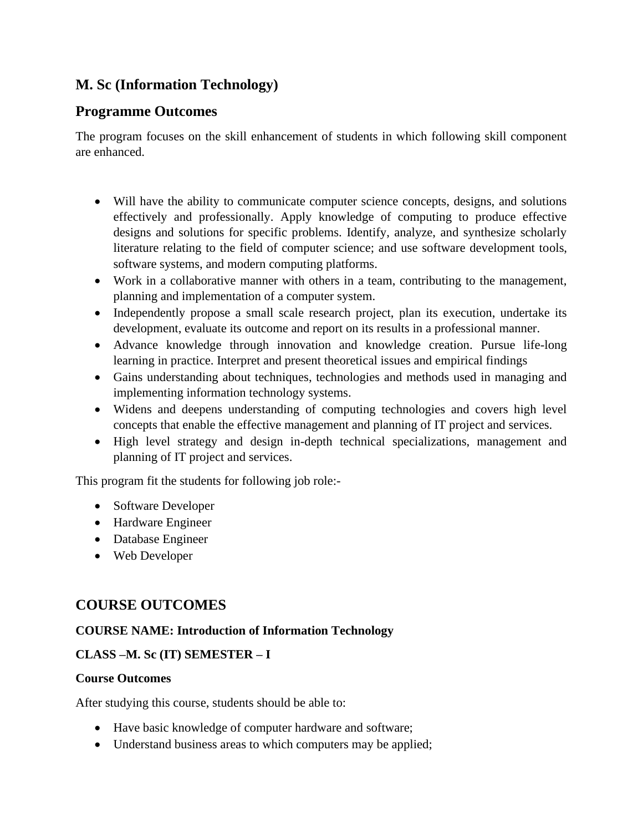# **M. Sc (Information Technology)**

## **Programme Outcomes**

The program focuses on the skill enhancement of students in which following skill component are enhanced.

- Will have the ability to communicate computer science concepts, designs, and solutions effectively and professionally. Apply knowledge of computing to produce effective designs and solutions for specific problems. Identify, analyze, and synthesize scholarly literature relating to the field of computer science; and use software development tools, software systems, and modern computing platforms.
- Work in a collaborative manner with others in a team, contributing to the management, planning and implementation of a computer system.
- Independently propose a small scale research project, plan its execution, undertake its development, evaluate its outcome and report on its results in a professional manner.
- Advance knowledge through innovation and knowledge creation. Pursue life-long learning in practice. Interpret and present theoretical issues and empirical findings
- Gains understanding about techniques, technologies and methods used in managing and implementing information technology systems.
- Widens and deepens understanding of computing technologies and covers high level concepts that enable the effective management and planning of IT project and services.
- High level strategy and design in-depth technical specializations, management and planning of IT project and services.

This program fit the students for following job role:-

- Software Developer
- Hardware Engineer
- Database Engineer
- Web Developer

# **COURSE OUTCOMES**

#### **COURSE NAME: Introduction of Information Technology**

#### **CLASS –M. Sc (IT) SEMESTER – I**

#### **Course Outcomes**

After studying this course, students should be able to:

- Have basic knowledge of computer hardware and software;
- Understand business areas to which computers may be applied;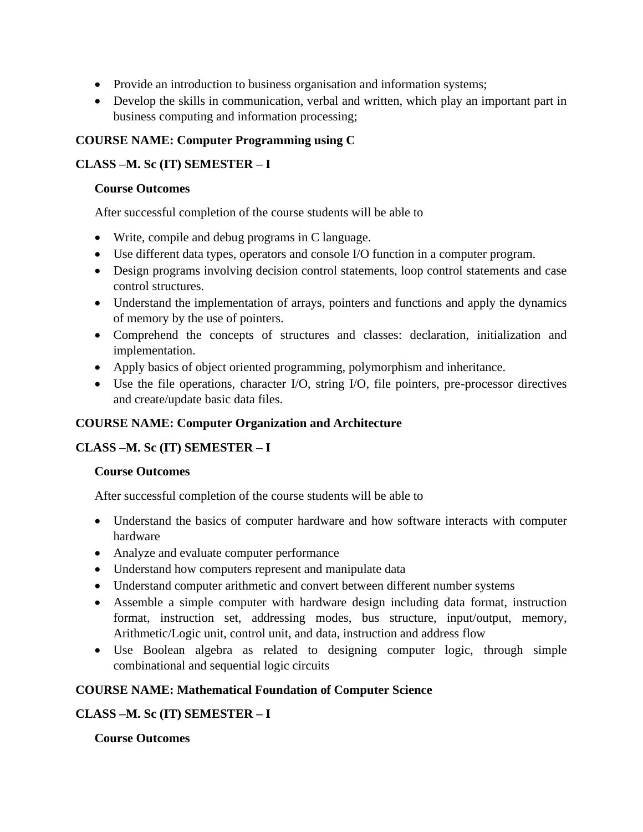- Provide an introduction to business organisation and information systems;
- Develop the skills in communication, verbal and written, which play an important part in business computing and information processing;

#### **COURSE NAME: Computer Programming using C**

#### **CLASS –M. Sc (IT) SEMESTER – I**

#### **Course Outcomes**

After successful completion of the course students will be able to

- Write, compile and debug programs in C language.
- Use different data types, operators and console I/O function in a computer program.
- Design programs involving decision control statements, loop control statements and case control structures.
- Understand the implementation of arrays, pointers and functions and apply the dynamics of memory by the use of pointers.
- Comprehend the concepts of structures and classes: declaration, initialization and implementation.
- Apply basics of object oriented programming, polymorphism and inheritance.
- Use the file operations, character I/O, string I/O, file pointers, pre-processor directives and create/update basic data files.

#### **COURSE NAME: Computer Organization and Architecture**

#### **CLASS –M. Sc (IT) SEMESTER – I**

#### **Course Outcomes**

After successful completion of the course students will be able to

- Understand the basics of computer hardware and how software interacts with computer hardware
- Analyze and evaluate computer performance
- Understand how computers represent and manipulate data
- Understand computer arithmetic and convert between different number systems
- Assemble a simple computer with hardware design including data format, instruction format, instruction set, addressing modes, bus structure, input/output, memory, Arithmetic/Logic unit, control unit, and data, instruction and address flow
- Use Boolean algebra as related to designing computer logic, through simple combinational and sequential logic circuits

#### **COURSE NAME: Mathematical Foundation of Computer Science**

## **CLASS –M. Sc (IT) SEMESTER – I**

#### **Course Outcomes**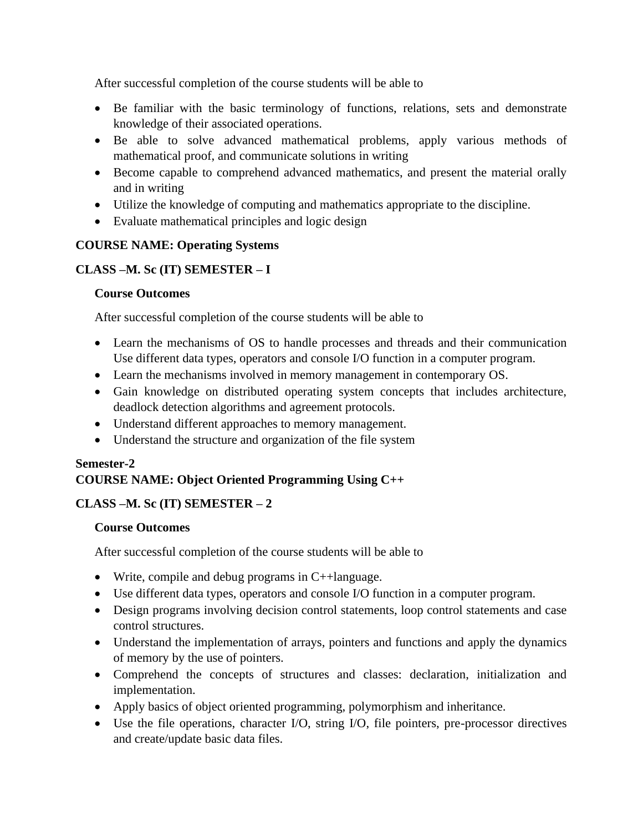After successful completion of the course students will be able to

- Be familiar with the basic terminology of functions, relations, sets and demonstrate knowledge of their associated operations.
- Be able to solve advanced mathematical problems, apply various methods of mathematical proof, and communicate solutions in writing
- Become capable to comprehend advanced mathematics, and present the material orally and in writing
- Utilize the knowledge of computing and mathematics appropriate to the discipline.
- Evaluate mathematical principles and logic design

#### **COURSE NAME: Operating Systems**

#### **CLASS –M. Sc (IT) SEMESTER – I**

#### **Course Outcomes**

After successful completion of the course students will be able to

- Learn the mechanisms of OS to handle processes and threads and their communication Use different data types, operators and console I/O function in a computer program.
- Learn the mechanisms involved in memory management in contemporary OS.
- Gain knowledge on distributed operating system concepts that includes architecture, deadlock detection algorithms and agreement protocols.
- Understand different approaches to memory management.
- Understand the structure and organization of the file system

#### **Semester-2 COURSE NAME: Object Oriented Programming Using C++**

## **CLASS –M. Sc (IT) SEMESTER – 2**

#### **Course Outcomes**

After successful completion of the course students will be able to

- Write, compile and debug programs in C++language.
- Use different data types, operators and console I/O function in a computer program.
- Design programs involving decision control statements, loop control statements and case control structures.
- Understand the implementation of arrays, pointers and functions and apply the dynamics of memory by the use of pointers.
- Comprehend the concepts of structures and classes: declaration, initialization and implementation.
- Apply basics of object oriented programming, polymorphism and inheritance.
- Use the file operations, character I/O, string I/O, file pointers, pre-processor directives and create/update basic data files.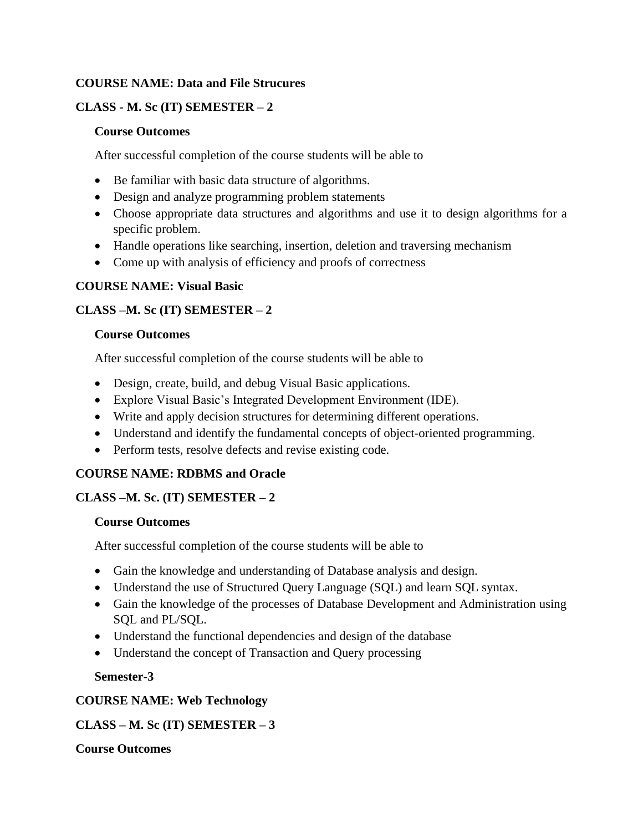#### **COURSE NAME: Data and File Strucures**

### **CLASS - M. Sc (IT) SEMESTER – 2**

#### **Course Outcomes**

After successful completion of the course students will be able to

- Be familiar with basic data structure of algorithms.
- Design and analyze programming problem statements
- Choose appropriate data structures and algorithms and use it to design algorithms for a specific problem.
- Handle operations like searching, insertion, deletion and traversing mechanism
- Come up with analysis of efficiency and proofs of correctness

#### **COURSE NAME: Visual Basic**

#### **CLASS –M. Sc (IT) SEMESTER – 2**

#### **Course Outcomes**

After successful completion of the course students will be able to

- Design, create, build, and debug Visual Basic applications.
- Explore Visual Basic's Integrated Development Environment (IDE).
- Write and apply decision structures for determining different operations.
- Understand and identify the fundamental concepts of object-oriented programming.
- Perform tests, resolve defects and revise existing code.

## **COURSE NAME: RDBMS and Oracle**

#### **CLASS –M. Sc. (IT) SEMESTER – 2**

#### **Course Outcomes**

After successful completion of the course students will be able to

- Gain the knowledge and understanding of Database analysis and design.
- Understand the use of Structured Query Language (SQL) and learn SQL syntax.
- Gain the knowledge of the processes of Database Development and Administration using SOL and PL/SOL.
- Understand the functional dependencies and design of the database
- Understand the concept of Transaction and Query processing

**Semester-3**

#### **COURSE NAME: Web Technology**

#### **CLASS – M. Sc (IT) SEMESTER – 3**

#### **Course Outcomes**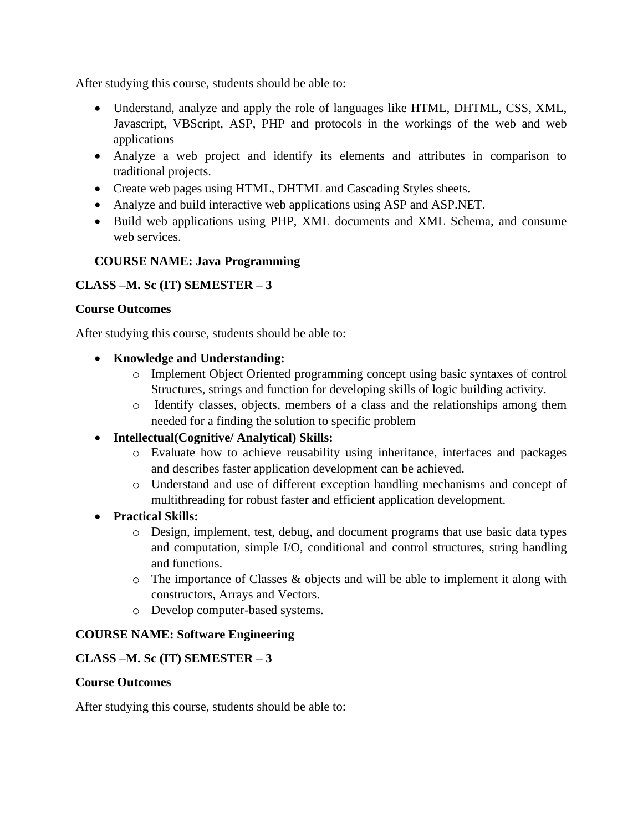After studying this course, students should be able to:

- Understand, analyze and apply the role of languages like HTML, DHTML, CSS, XML, Javascript, VBScript, ASP, PHP and protocols in the workings of the web and web applications
- Analyze a web project and identify its elements and attributes in comparison to traditional projects.
- Create web pages using HTML, DHTML and Cascading Styles sheets.
- Analyze and build interactive web applications using ASP and ASP.NET.
- Build web applications using PHP, XML documents and XML Schema, and consume web services.

## **COURSE NAME: Java Programming**

## **CLASS –M. Sc (IT) SEMESTER – 3**

## **Course Outcomes**

After studying this course, students should be able to:

#### • **Knowledge and Understanding:**

- o Implement Object Oriented programming concept using basic syntaxes of control Structures, strings and function for developing skills of logic building activity.
- o Identify classes, objects, members of a class and the relationships among them needed for a finding the solution to specific problem
- **Intellectual(Cognitive/ Analytical) Skills:**
	- o Evaluate how to achieve reusability using inheritance, interfaces and packages and describes faster application development can be achieved.
	- o Understand and use of different exception handling mechanisms and concept of multithreading for robust faster and efficient application development.
- **Practical Skills:**
	- o Design, implement, test, debug, and document programs that use basic data types and computation, simple I/O, conditional and control structures, string handling and functions.
	- $\circ$  The importance of Classes & objects and will be able to implement it along with constructors, Arrays and Vectors.
	- o Develop computer-based systems.

## **COURSE NAME: Software Engineering**

## **CLASS –M. Sc (IT) SEMESTER – 3**

#### **Course Outcomes**

After studying this course, students should be able to: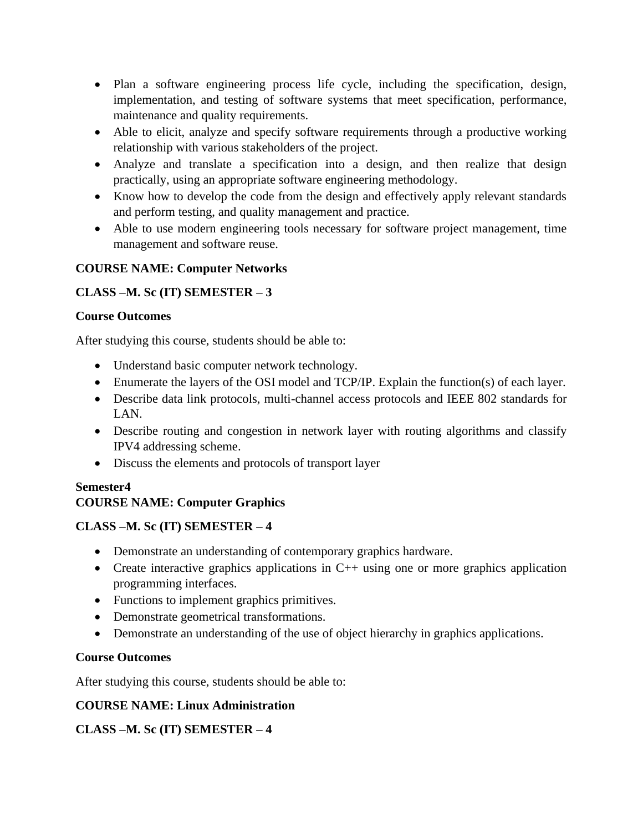- Plan a software engineering process life cycle, including the specification, design, implementation, and testing of software systems that meet specification, performance, maintenance and quality requirements.
- Able to elicit, analyze and specify software requirements through a productive working relationship with various stakeholders of the project.
- Analyze and translate a specification into a design, and then realize that design practically, using an appropriate software engineering methodology.
- Know how to develop the code from the design and effectively apply relevant standards and perform testing, and quality management and practice.
- Able to use modern engineering tools necessary for software project management, time management and software reuse.

## **COURSE NAME: Computer Networks**

## **CLASS –M. Sc (IT) SEMESTER – 3**

#### **Course Outcomes**

After studying this course, students should be able to:

- Understand basic computer network technology.
- Enumerate the layers of the OSI model and TCP/IP. Explain the function(s) of each layer.
- Describe data link protocols, multi-channel access protocols and IEEE 802 standards for LAN.
- Describe routing and congestion in network layer with routing algorithms and classify IPV4 addressing scheme.
- Discuss the elements and protocols of transport layer

# **Semester4**

## **COURSE NAME: Computer Graphics**

## **CLASS –M. Sc (IT) SEMESTER – 4**

- Demonstrate an understanding of contemporary graphics hardware.
- Create interactive graphics applications in  $C_{++}$  using one or more graphics application programming interfaces.
- Functions to implement graphics primitives.
- Demonstrate geometrical transformations.
- Demonstrate an understanding of the use of object hierarchy in graphics applications.

## **Course Outcomes**

After studying this course, students should be able to:

## **COURSE NAME: Linux Administration**

## **CLASS –M. Sc (IT) SEMESTER – 4**